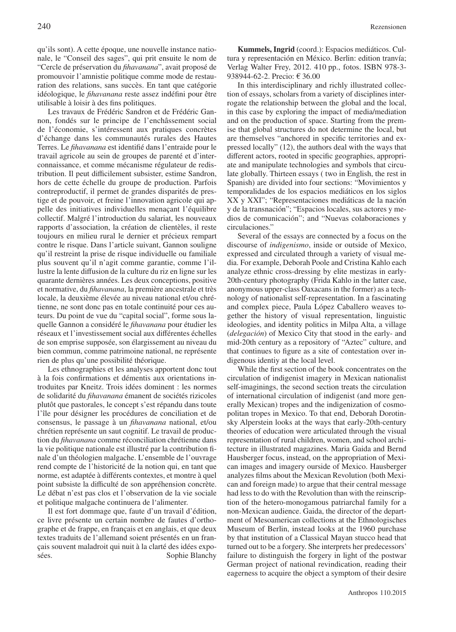qu'ils sont). A cette époque, une nouvelle instance nationale, le "Conseil des sages", qui prit ensuite le nom de "Cercle de préservation du *fihavanana*", avait proposé de promouvoir l'amnistie politique comme mode de restauration des relations, sans succès. En tant que catégorie idéologique, le *fihavanana* reste assez indéfini pour être utilisable à loisir à des fins politiques.

Les travaux de Frédéric Sandron et de Frédéric Gannon, fondés sur le principe de l'enchâssement social de l'économie, s'intéressent aux pratiques concrètes d'échange dans les communautés rurales des Hautes Terres. Le *fihavanana* est identifié dans l'entraide pour le travail agricole au sein de groupes de parenté et d'interconnaissance, et comme mécanisme régulateur de redistribution. Il peut difficilement subsister, estime Sandron, hors de cette échelle du groupe de production. Parfois contreproductif, il permet de grandes disparités de prestige et de pouvoir, et freine l'innovation agricole qui appelle des initiatives individuelles menaçant l'équilibre collectif. Malgré l'introduction du salariat, les nouveaux rapports d'association, la création de clientèles, il reste toujours en milieu rural le dernier et précieux rempart contre le risque. Dans l'article suivant, Gannon souligne qu'il restreint la prise de risque individuelle ou familiale plus souvent qu'il n'agit comme garantie, comme l'illustre la lente diffusion de la culture du riz en ligne sur les quarante dernières années. Les deux conceptions, positive et normative, du *fihavanana*, la première ancestrale et très locale, la deuxième élevée au niveau national et/ou chrétienne, ne sont donc pas en totale continuité pour ces auteurs. Du point de vue du "capital social", forme sous laquelle Gannon a considéré le *fihavanana* pour étudier les réseaux et l'investissement social aux différentes échelles de son emprise supposée, son élargissement au niveau du bien commun, comme patrimoine national, ne représente rien de plus qu'une possibilité théorique.

Les ethnographies et les analyses apportent donc tout à la fois confirmations et démentis aux orientations introduites par Kneitz. Trois idées dominent : les normes de solidarité du *fihavanana* émanent de sociétés rizicoles plutôt que pastorales, le concept s'est répandu dans toute l'île pour désigner les procédures de conciliation et de consensus, le passage à un *fihavanana* national, et/ou chrétien représente un saut cognitif. Le travail de production du *fihavanana* comme réconciliation chrétienne dans la vie politique nationale est illustré par la contribution finale d'un théologien malgache. L'ensemble de l'ouvrage rend compte de l'historicité de la notion qui, en tant que norme, est adaptée à différents contextes, et montre à quel point subsiste la difficulté de son appréhension concrète. Le débat n'est pas clos et l'observation de la vie sociale et politique malgache continuera de l'alimenter.

Il est fort dommage que, faute d'un travail d'édition, ce livre présente un certain nombre de fautes d'orthographe et de frappe, en français et en anglais, et que deux textes traduits de l'allemand soient présentés en un français souvent maladroit qui nuit à la clarté des idées exposées. Sophie Blanchy

**Kummels, Ingrid** (coord.): Espacios mediáticos. Cultura y representación en México. Berlin: edition tranvía; Verlag Walter Frey, 2012. 410 pp., fotos. ISBN 978-3- 938944-62-2. Precio: € 36.00

In this interdisciplinary and richly illustrated collection of essays, scholars from a variety of disciplines interrogate the relationship between the global and the local, in this case by exploring the impact of media/mediation and on the production of space. Starting from the premise that global structures do not determine the local, but are themselves "anchored in specific territories and expressed locally" (12), the authors deal with the ways that different actors, rooted in specific geographies, appropriate and manipulate technologies and symbols that circulate globally. Thirteen essays ( two in English, the rest in Spanish) are divided into four sections: "Movimientos y temporalidades de los espacios mediáticos en los siglos XX y XXI"; "Representaciones mediáticas de la nación y de la transnación"; "Espacios locales, sus actores y medios de comunicación"; and "Nuevas colaboraciones y circulaciones."

Several of the essays are connected by a focus on the discourse of *indigenismo*, inside or outside of Mexico, expressed and circulated through a variety of visual media. For example, Deborah Poole and Cristina Kahlo each analyze ethnic cross-dressing by elite mestizas in early-20th-century photography (Frida Kahlo in the latter case, anonymous upper-class Oaxacans in the former) as a technology of nationalist self-representation. In a fascinating and complex piece, Paula López Caballero weaves together the history of visual representation, linguistic ideologies, and identity politics in Milpa Alta, a village (*delegación*) of Mexico City that stood in the early- and mid-20th century as a repository of "Aztec" culture, and that continues to figure as a site of contestation over indigenous identiy at the local level.

While the first section of the book concentrates on the circulation of indigenist imagery in Mexican nationalist self-imaginings, the second section treats the circulation of international circulation of indigenist (and more generally Mexican) tropes and the indigenization of cosmopolitan tropes in Mexico. To that end, Deborah Dorotinsky Alperstein looks at the ways that early-20th-century theories of education were articulated through the visual representation of rural children, women, and school architecture in illustrated magazines. Maria Gaida and Bernd Hausberger focus, instead, on the appropriation of Mexican images and imagery ourside of Mexico. Hausberger analyzes films about the Mexican Revolution (both Mexican and foreign made) to argue that their central message had less to do with the Revolution than with the reinscription of the hetero-monogamous patriarchal family for a non-Mexican audience. Gaida, the director of the department of Mesoamerican collections at the Ethnologisches Museum of Berlin, instead looks at the 1960 purchase by that institution of a Classical Mayan stucco head that turned out to be a forgery. She interprets her predecessors' failure to distinguish the forgery in light of the postwar German project of national revindication, reading their eagerness to acquire the object a symptom of their desire

Anthropos 110.2015